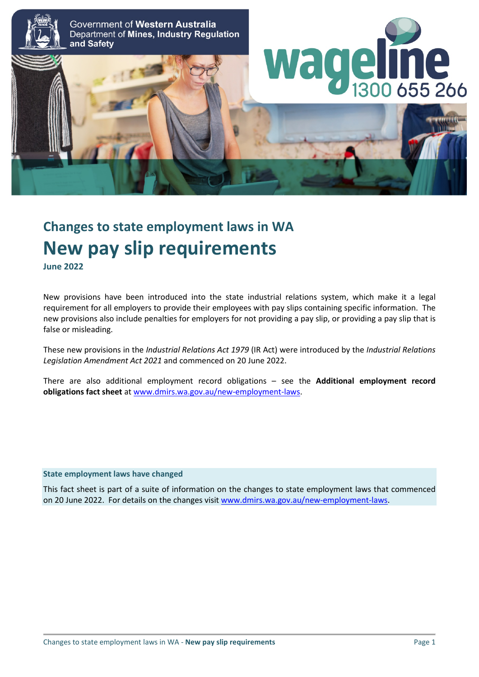

# **Changes to state employment laws in WA New pay slip requirements June 2022**

New provisions have been introduced into the state industrial relations system, which make it a legal requirement for all employers to provide their employees with pay slips containing specific information. The new provisions also include penalties for employers for not providing a pay slip, or providing a pay slip that is false or misleading.

These new provisions in the *Industrial Relations Act 1979* (IR Act) were introduced by the *Industrial Relations Legislation Amendment Act 2021* and commenced on 20 June 2022.

There are also additional employment record obligations – see the **Additional employment record obligations fact sheet** at [www.dmirs.wa.gov.au/new-employment-laws.](http://www.dmirs.wa.gov.au/new-employment-laws)

#### **State employment laws have changed**

This fact sheet is part of a suite of information on the changes to state employment laws that commenced on 20 June 2022. For details on the changes visit [www.dmirs.wa.gov.au/new-employment-laws.](http://www.dmirs.wa.gov.au/new-employment-laws)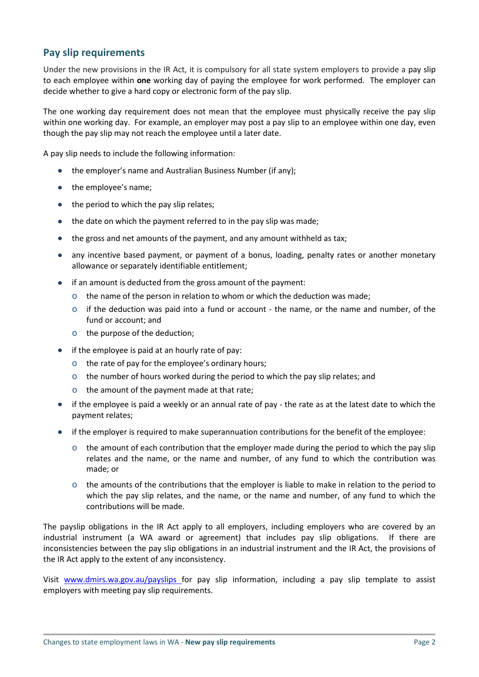# **Pay slip requirements**

Under the new provisions in the IR Act, it is compulsory for all state system employers to provide a pay slip to each employee within **one** working day of paying the employee for work performed. The employer can decide whether to give a hard copy or electronic form of the pay slip.

The one working day requirement does not mean that the employee must physically receive the pay slip within one working day. For example, an employer may post a pay slip to an employee within one day, even though the pay slip may not reach the employee until a later date.

A pay slip needs to include the following information:

- the employer's name and Australian Business Number (if any);
- the employee's name;
- the period to which the pay slip relates;
- the date on which the payment referred to in the pay slip was made;
- the gross and net amounts of the payment, and any amount withheld as tax;
- any incentive based payment, or payment of a bonus, loading, penalty rates or another monetary allowance or separately identifiable entitlement;
- if an amount is deducted from the gross amount of the payment:
	- $\circ$  the name of the person in relation to whom or which the deduction was made;
	- $\circ$  if the deduction was paid into a fund or account the name, or the name and number, of the fund or account; and
	- o the purpose of the deduction;
- if the employee is paid at an hourly rate of pay:
	- o the rate of pay for the employee's ordinary hours;
	- $\circ$  the number of hours worked during the period to which the pay slip relates; and
	- o the amount of the payment made at that rate;
- if the employee is paid a weekly or an annual rate of pay the rate as at the latest date to which the payment relates;
- if the employer is required to make superannuation contributions for the benefit of the employee:
	- $\circ$  the amount of each contribution that the employer made during the period to which the pay slip relates and the name, or the name and number, of any fund to which the contribution was made; or
	- $\circ$  the amounts of the contributions that the employer is liable to make in relation to the period to which the pay slip relates, and the name, or the name and number, of any fund to which the contributions will be made.

The payslip obligations in the IR Act apply to all employers, including employers who are covered by an industrial instrument (a WA award or agreement) that includes pay slip obligations. If there are inconsistencies between the pay slip obligations in an industrial instrument and the IR Act, the provisions of the IR Act apply to the extent of any inconsistency.

Visit [www.dmirs.wa.gov.au/payslips](http://www.dmirs.wa.gov.au/payslips) for pay slip information, including a pay slip template to assist employers with meeting pay slip requirements.